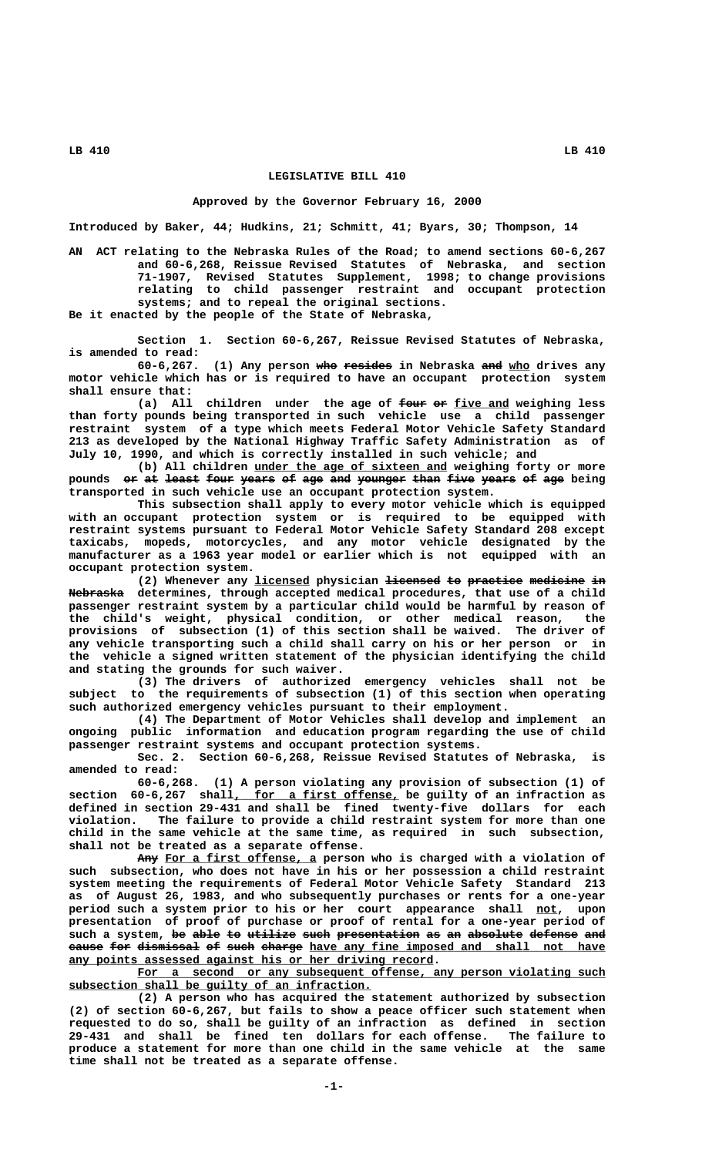## **LEGISLATIVE BILL 410**

## **Approved by the Governor February 16, 2000**

**Introduced by Baker, 44; Hudkins, 21; Schmitt, 41; Byars, 30; Thompson, 14**

**AN ACT relating to the Nebraska Rules of the Road; to amend sections 60-6,267 and 60-6,268, Reissue Revised Statutes of Nebraska, and section 71-1907, Revised Statutes Supplement, 1998; to change provisions relating to child passenger restraint and occupant protection systems; and to repeal the original sections. Be it enacted by the people of the State of Nebraska,**

**Section 1. Section 60-6,267, Reissue Revised Statutes of Nebraska, is amended to read:**

(1) Any person who resides in Nebraska and who drives any **motor vehicle which has or is required to have an occupant protection system shall ensure that:**

(a) All children under the age of four or five and weighing less **than forty pounds being transported in such vehicle use a child passenger restraint system of a type which meets Federal Motor Vehicle Safety Standard 213 as developed by the National Highway Traffic Safety Administration as of July 10, 1990, and which is correctly installed in such vehicle; and**

 **\_\_\_\_\_\_\_\_\_\_\_\_\_\_\_\_\_\_\_\_\_\_\_\_\_\_\_\_ (b) All children under the age of sixteen and weighing forty or more** pounds or at least four years of age and younger than five years of age being **transported in such vehicle use an occupant protection system.**

**This subsection shall apply to every motor vehicle which is equipped with an occupant protection system or is required to be equipped with restraint systems pursuant to Federal Motor Vehicle Safety Standard 208 except taxicabs, mopeds, motorcycles, and any motor vehicle designated by the manufacturer as a 1963 year model or earlier which is not equipped with an occupant protection system.**

**(2) Whenever any licensed physician licensed to practice medicine in \_\_\_\_\_\_\_\_ ———————— —— ———————— ———————— —— ———————— Nebraska determines, through accepted medical procedures, that use of a child passenger restraint system by a particular child would be harmful by reason of the child's weight, physical condition, or other medical reason, the provisions of subsection (1) of this section shall be waived. The driver of any vehicle transporting such a child shall carry on his or her person or in the vehicle a signed written statement of the physician identifying the child and stating the grounds for such waiver.**

**(3) The drivers of authorized emergency vehicles shall not be subject to the requirements of subsection (1) of this section when operating such authorized emergency vehicles pursuant to their employment.**

**(4) The Department of Motor Vehicles shall develop and implement an ongoing public information and education program regarding the use of child passenger restraint systems and occupant protection systems.**

**Sec. 2. Section 60-6,268, Reissue Revised Statutes of Nebraska, is amended to read:**

**60-6,268. (1) A person violating any provision of subsection (1) of \_\_\_\_\_\_\_\_\_\_\_\_\_\_\_\_\_\_\_\_\_\_\_\_ section 60-6,267 shall, for a first offense, be guilty of an infraction as defined in section 29-431 and shall be fined twenty-five dollars for each violation. The failure to provide a child restraint system for more than one child in the same vehicle at the same time, as required in such subsection, shall not be treated as a separate offense.**

Any For a first offense, a person who is charged with a violation of **such subsection, who does not have in his or her possession a child restraint system meeting the requirements of Federal Motor Vehicle Safety Standard 213 as of August 26, 1983, and who subsequently purchases or rents for a one-year** period such a system prior to his or her court appearance shall not, upon **presentation of proof of purchase or proof of rental for a one-year period of** such a system, be able to utilize such presentation as an absolute defense and cause for dismissal of such charge have any fine imposed and shall not have  **\_\_\_\_\_\_\_\_\_\_\_\_\_\_\_\_\_\_\_\_\_\_\_\_\_\_\_\_\_\_\_\_\_\_\_\_\_\_\_\_\_\_\_\_\_\_\_\_\_\_\_\_\_ any points assessed against his or her driving record.**

For a second or any subsequent offense, any person violating such  **\_\_\_\_\_\_\_\_\_\_\_\_\_\_\_\_\_\_\_\_\_\_\_\_\_\_\_\_\_\_\_\_\_\_\_\_\_\_\_\_\_\_\_\_ subsection shall be guilty of an infraction.**

**(2) A person who has acquired the statement authorized by subsection (2) of section 60-6,267, but fails to show a peace officer such statement when requested to do so, shall be guilty of an infraction as defined in section 29-431 and shall be fined ten dollars for each offense. The failure to produce a statement for more than one child in the same vehicle at the same time shall not be treated as a separate offense.**